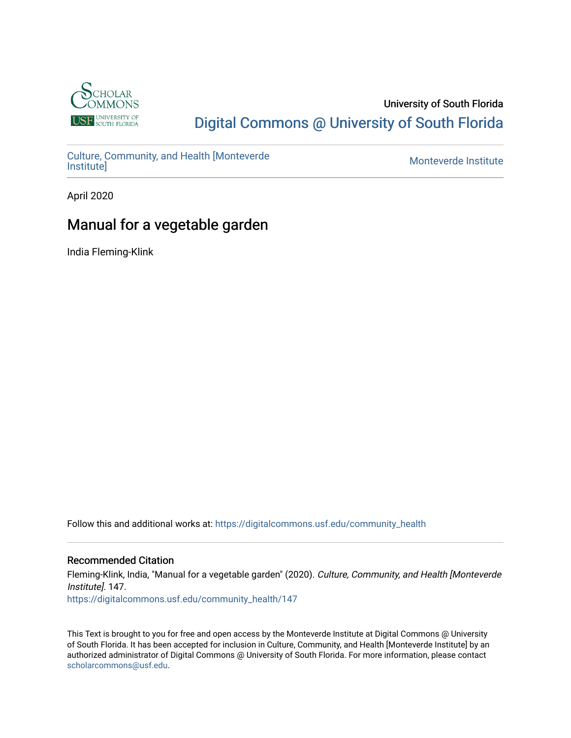

#### University of South Florida [Digital Commons @ University of South Florida](https://digitalcommons.usf.edu/)

[Culture, Community, and Health \[Monteverde](https://digitalcommons.usf.edu/community_health) [Institute\]](https://digitalcommons.usf.edu/community_health) [Monteverde Institute](https://digitalcommons.usf.edu/monteverde) 

April 2020

### Manual for a vegetable garden

India Fleming-Klink

Follow this and additional works at: [https://digitalcommons.usf.edu/community\\_health](https://digitalcommons.usf.edu/community_health?utm_source=digitalcommons.usf.edu%2Fcommunity_health%2F147&utm_medium=PDF&utm_campaign=PDFCoverPages) 

#### Recommended Citation

Fleming-Klink, India, "Manual for a vegetable garden" (2020). Culture, Community, and Health [Monteverde Institute]. 147.

[https://digitalcommons.usf.edu/community\\_health/147](https://digitalcommons.usf.edu/community_health/147?utm_source=digitalcommons.usf.edu%2Fcommunity_health%2F147&utm_medium=PDF&utm_campaign=PDFCoverPages)

This Text is brought to you for free and open access by the Monteverde Institute at Digital Commons @ University of South Florida. It has been accepted for inclusion in Culture, Community, and Health [Monteverde Institute] by an authorized administrator of Digital Commons @ University of South Florida. For more information, please contact [scholarcommons@usf.edu.](mailto:scholarcommons@usf.edu)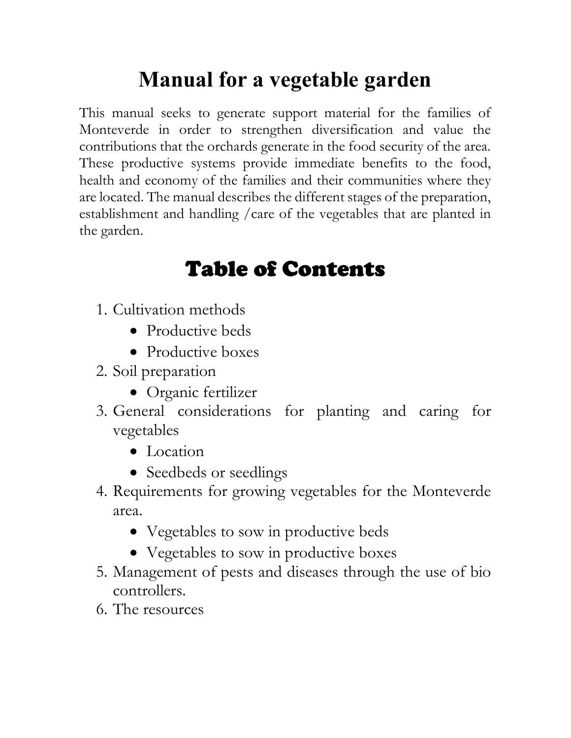# Manual for a vegetable garden

This manual seeks to generate support material for the families of Monteverde in order to strengthen diversification and value the contributions that the orchards generate in the food security of the area. These productive systems provide immediate benefits to the food, health and economy of the families and their communities where they are located. The manual describes the different stages of the preparation, establishment and handling /care of the vegetables that are planted in the garden.

## Table of Contents

- 1. Cultivation methods
	- Productive beds
	- Productive boxes
- 2. Soil preparation
	- Organic fertilizer
- 3. General considerations for planting and caring for vegetables
	- Location
	- Seedbeds or seedlings
- 4. Requirements for growing vegetables for the Monteverde area.
	- Vegetables to sow in productive beds
	- Vegetables to sow in productive boxes
- 5. Management of pests and diseases through the use of bio controllers.
- 6. The resources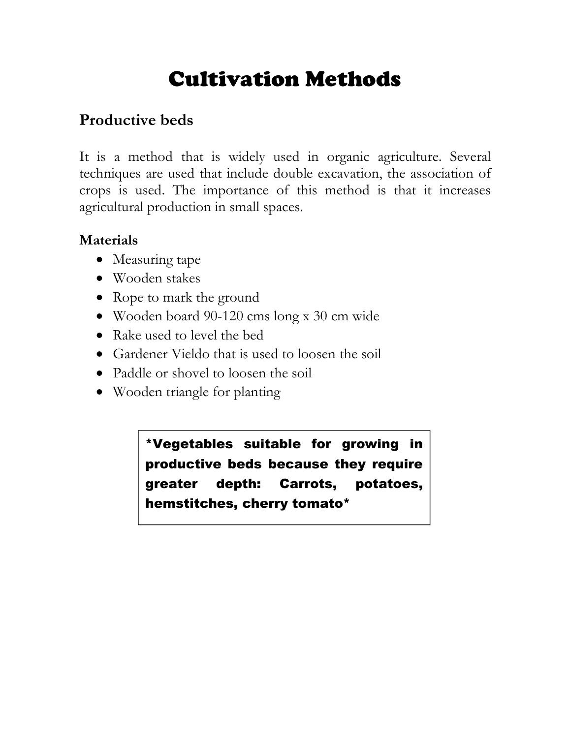## Cultivation Methods

## Productive beds

It is a method that is widely used in organic agriculture. Several techniques are used that include double excavation, the association of crops is used. The importance of this method is that it increases agricultural production in small spaces.

#### Materials

- Measuring tape
- Wooden stakes
- Rope to mark the ground
- Wooden board 90-120 cms long x 30 cm wide
- Rake used to level the bed
- Gardener Vieldo that is used to loosen the soil
- Paddle or shovel to loosen the soil
- Wooden triangle for planting

\*Vegetables suitable for growing in productive beds because they require greater depth: Carrots, potatoes, hemstitches, cherry tomato\*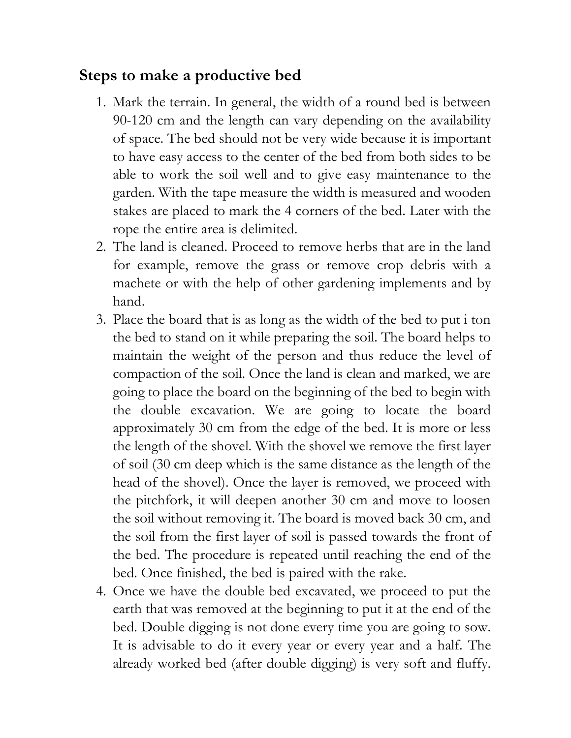### Steps to make a productive bed

- 1. Mark the terrain. In general, the width of a round bed is between 90-120 cm and the length can vary depending on the availability of space. The bed should not be very wide because it is important to have easy access to the center of the bed from both sides to be able to work the soil well and to give easy maintenance to the garden. With the tape measure the width is measured and wooden stakes are placed to mark the 4 corners of the bed. Later with the rope the entire area is delimited.
- 2. The land is cleaned. Proceed to remove herbs that are in the land for example, remove the grass or remove crop debris with a machete or with the help of other gardening implements and by hand.
- 3. Place the board that is as long as the width of the bed to put i ton the bed to stand on it while preparing the soil. The board helps to maintain the weight of the person and thus reduce the level of compaction of the soil. Once the land is clean and marked, we are going to place the board on the beginning of the bed to begin with the double excavation. We are going to locate the board approximately 30 cm from the edge of the bed. It is more or less the length of the shovel. With the shovel we remove the first layer of soil (30 cm deep which is the same distance as the length of the head of the shovel). Once the layer is removed, we proceed with the pitchfork, it will deepen another 30 cm and move to loosen the soil without removing it. The board is moved back 30 cm, and the soil from the first layer of soil is passed towards the front of the bed. The procedure is repeated until reaching the end of the bed. Once finished, the bed is paired with the rake.
- 4. Once we have the double bed excavated, we proceed to put the earth that was removed at the beginning to put it at the end of the bed. Double digging is not done every time you are going to sow. It is advisable to do it every year or every year and a half. The already worked bed (after double digging) is very soft and fluffy.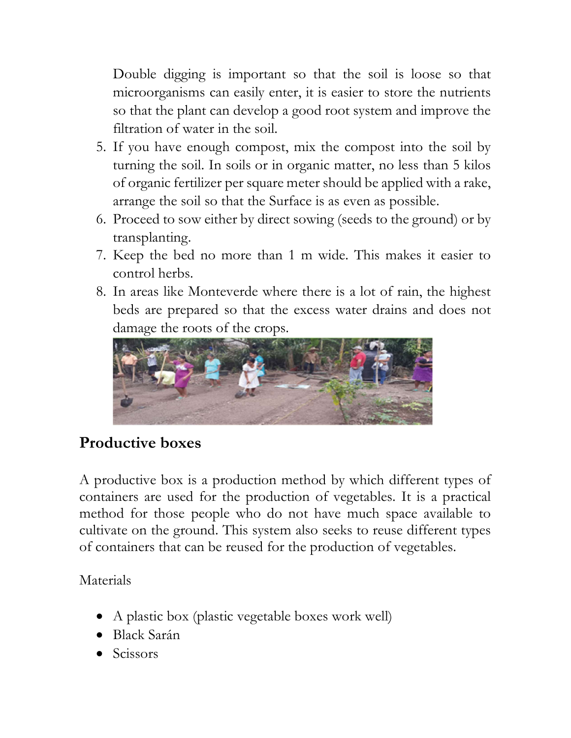Double digging is important so that the soil is loose so that microorganisms can easily enter, it is easier to store the nutrients so that the plant can develop a good root system and improve the filtration of water in the soil.

- 5. If you have enough compost, mix the compost into the soil by turning the soil. In soils or in organic matter, no less than 5 kilos of organic fertilizer per square meter should be applied with a rake, arrange the soil so that the Surface is as even as possible.
- 6. Proceed to sow either by direct sowing (seeds to the ground) or by transplanting.
- 7. Keep the bed no more than 1 m wide. This makes it easier to control herbs.
- 8. In areas like Monteverde where there is a lot of rain, the highest beds are prepared so that the excess water drains and does not damage the roots of the crops.



## Productive boxes

A productive box is a production method by which different types of containers are used for the production of vegetables. It is a practical method for those people who do not have much space available to cultivate on the ground. This system also seeks to reuse different types of containers that can be reused for the production of vegetables.

Materials

- A plastic box (plastic vegetable boxes work well)
- Black Sarán
- Scissors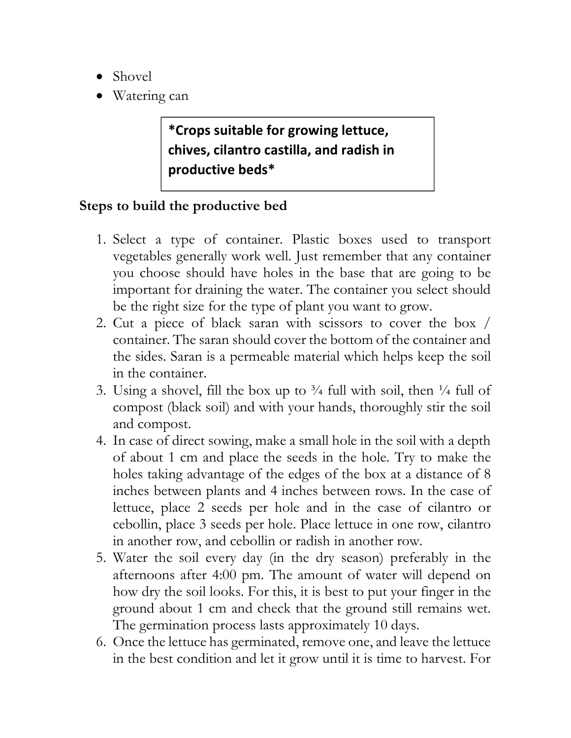- Shovel
- Watering can

## \*Crops suitable for growing lettuce, chives, cilantro castilla, and radish in productive beds\*

#### Steps to build the productive bed

- 1. Select a type of container. Plastic boxes used to transport vegetables generally work well. Just remember that any container you choose should have holes in the base that are going to be important for draining the water. The container you select should be the right size for the type of plant you want to grow.
- 2. Cut a piece of black saran with scissors to cover the box / container. The saran should cover the bottom of the container and the sides. Saran is a permeable material which helps keep the soil in the container.
- 3. Using a shovel, fill the box up to  $\frac{3}{4}$  full with soil, then  $\frac{1}{4}$  full of compost (black soil) and with your hands, thoroughly stir the soil and compost.
- 4. In case of direct sowing, make a small hole in the soil with a depth of about 1 cm and place the seeds in the hole. Try to make the holes taking advantage of the edges of the box at a distance of 8 inches between plants and 4 inches between rows. In the case of lettuce, place 2 seeds per hole and in the case of cilantro or cebollin, place 3 seeds per hole. Place lettuce in one row, cilantro in another row, and cebollin or radish in another row.
- 5. Water the soil every day (in the dry season) preferably in the afternoons after 4:00 pm. The amount of water will depend on how dry the soil looks. For this, it is best to put your finger in the ground about 1 cm and check that the ground still remains wet. The germination process lasts approximately 10 days.
- 6. Once the lettuce has germinated, remove one, and leave the lettuce in the best condition and let it grow until it is time to harvest. For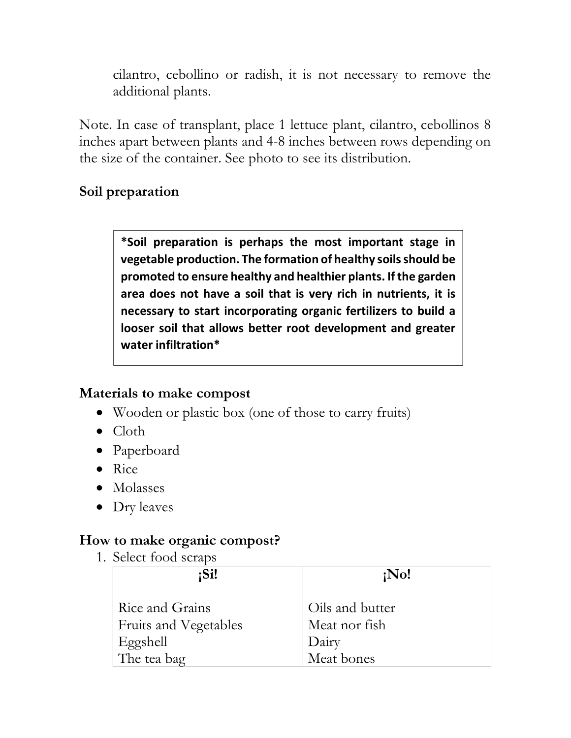cilantro, cebollino or radish, it is not necessary to remove the additional plants.

Note. In case of transplant, place 1 lettuce plant, cilantro, cebollinos 8 inches apart between plants and 4-8 inches between rows depending on the size of the container. See photo to see its distribution.

#### Soil preparation

\*Soil preparation is perhaps the most important stage in vegetable production. The formation of healthy soils should be promoted to ensure healthy and healthier plants. If the garden area does not have a soil that is very rich in nutrients, it is necessary to start incorporating organic fertilizers to build a looser soil that allows better root development and greater water infiltration\*

#### Materials to make compost

- Wooden or plastic box (one of those to carry fruits)
- Cloth
- Paperboard
- Rice
- Molasses
- Dry leaves

#### How to make organic compost?

1. Select food scraps

| :Si!                                     | $i$ No!                |
|------------------------------------------|------------------------|
| Rice and Grains                          | Oils and butter        |
| <b>Fruits and Vegetables</b><br>Eggshell | Meat nor fish<br>Dairy |
| The tea bag                              | Meat bones             |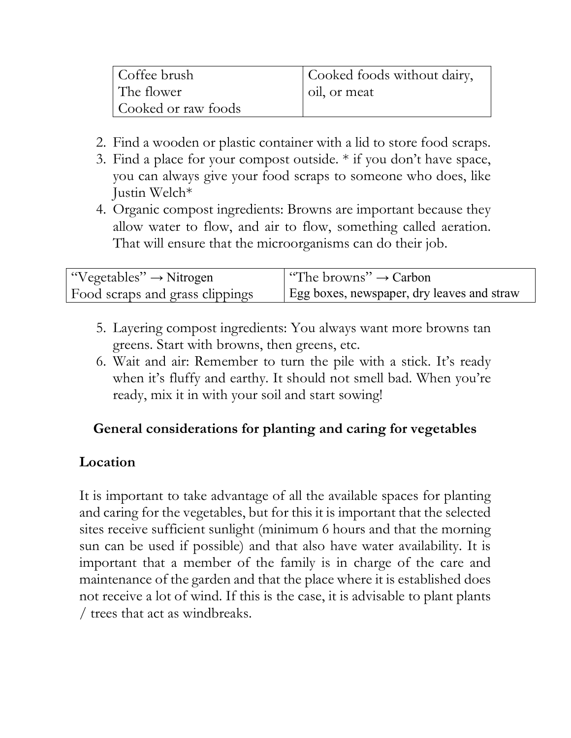| Coffee brush        | Cooked foods without dairy, |
|---------------------|-----------------------------|
| The flower          | oil, or meat                |
| Cooked or raw foods |                             |

- 2. Find a wooden or plastic container with a lid to store food scraps.
- 3. Find a place for your compost outside. \* if you don't have space, you can always give your food scraps to someone who does, like Justin Welch\*
- 4. Organic compost ingredients: Browns are important because they allow water to flow, and air to flow, something called aeration. That will ensure that the microorganisms can do their job.

| "Vegetables" $\rightarrow$ Nitrogen | "The browns" $\rightarrow$ Carbon"         |
|-------------------------------------|--------------------------------------------|
| Food scraps and grass clippings     | Egg boxes, newspaper, dry leaves and straw |

- 5. Layering compost ingredients: You always want more browns tan greens. Start with browns, then greens, etc.
- 6. Wait and air: Remember to turn the pile with a stick. It's ready when it's fluffy and earthy. It should not smell bad. When you're ready, mix it in with your soil and start sowing!

#### General considerations for planting and caring for vegetables

#### Location

It is important to take advantage of all the available spaces for planting and caring for the vegetables, but for this it is important that the selected sites receive sufficient sunlight (minimum 6 hours and that the morning sun can be used if possible) and that also have water availability. It is important that a member of the family is in charge of the care and maintenance of the garden and that the place where it is established does not receive a lot of wind. If this is the case, it is advisable to plant plants / trees that act as windbreaks.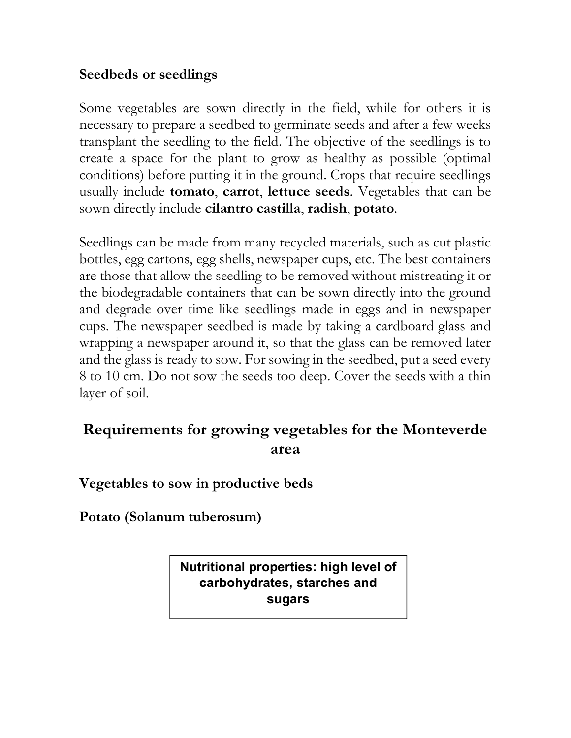#### Seedbeds or seedlings

Some vegetables are sown directly in the field, while for others it is necessary to prepare a seedbed to germinate seeds and after a few weeks transplant the seedling to the field. The objective of the seedlings is to create a space for the plant to grow as healthy as possible (optimal conditions) before putting it in the ground. Crops that require seedlings usually include **tomato, carrot, lettuce seeds**. Vegetables that can be sown directly include cilantro castilla, radish, potato.

Seedlings can be made from many recycled materials, such as cut plastic bottles, egg cartons, egg shells, newspaper cups, etc. The best containers are those that allow the seedling to be removed without mistreating it or the biodegradable containers that can be sown directly into the ground and degrade over time like seedlings made in eggs and in newspaper cups. The newspaper seedbed is made by taking a cardboard glass and wrapping a newspaper around it, so that the glass can be removed later and the glass is ready to sow. For sowing in the seedbed, put a seed every 8 to 10 cm. Do not sow the seeds too deep. Cover the seeds with a thin layer of soil.

### Requirements for growing vegetables for the Monteverde area

Vegetables to sow in productive beds

Potato (Solanum tuberosum)

Nutritional properties: high level of carbohydrates, starches and sugars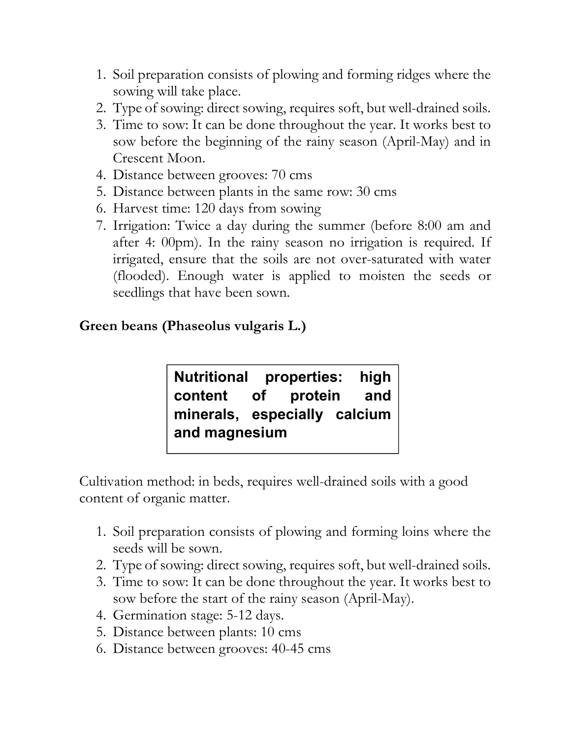- 1. Soil preparation consists of plowing and forming ridges where the sowing will take place.
- 2. Type of sowing: direct sowing, requires soft, but well-drained soils.
- 3. Time to sow: It can be done throughout the year. It works best to sow before the beginning of the rainy season (April-May) and in Crescent Moon.
- 4. Distance between grooves: 70 cms
- 5. Distance between plants in the same row: 30 cms
- 6. Harvest time: 120 days from sowing
- 7. Irrigation: Twice a day during the summer (before 8:00 am and after 4: 00pm). In the rainy season no irrigation is required. If irrigated, ensure that the soils are not over-saturated with water (flooded). Enough water is applied to moisten the seeds or seedlings that have been sown.

#### Green beans (Phaseolus vulgaris L.)

Nutritional properties: high content of protein and minerals, especially calcium and magnesium

Cultivation method: in beds, requires well-drained soils with a good content of organic matter.

- 1. Soil preparation consists of plowing and forming loins where the seeds will be sown.
- 2. Type of sowing: direct sowing, requires soft, but well-drained soils.
- 3. Time to sow: It can be done throughout the year. It works best to sow before the start of the rainy season (April-May).
- 4. Germination stage: 5-12 days.
- 5. Distance between plants: 10 cms
- 6. Distance between grooves: 40-45 cms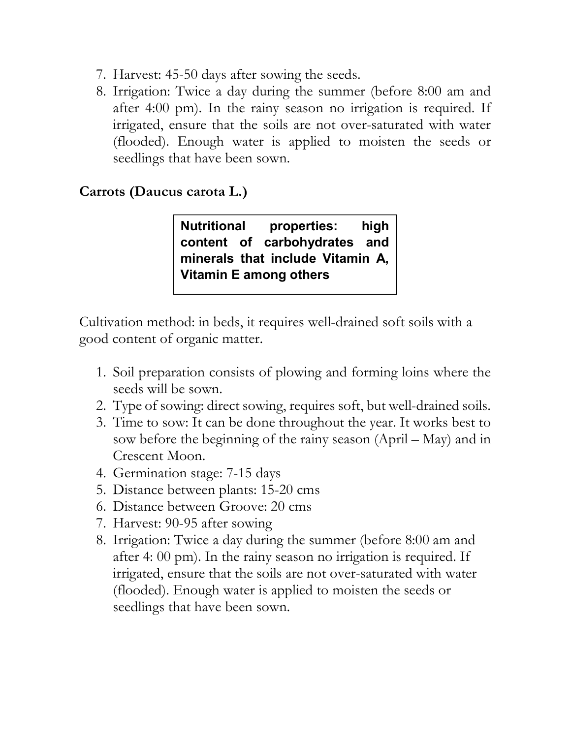- 7. Harvest: 45-50 days after sowing the seeds.
- 8. Irrigation: Twice a day during the summer (before 8:00 am and after 4:00 pm). In the rainy season no irrigation is required. If irrigated, ensure that the soils are not over-saturated with water (flooded). Enough water is applied to moisten the seeds or seedlings that have been sown.

#### Carrots (Daucus carota L.)

Nutritional properties: high content of carbohydrates and minerals that include Vitamin A, Vitamin E among others

Cultivation method: in beds, it requires well-drained soft soils with a good content of organic matter.

- 1. Soil preparation consists of plowing and forming loins where the seeds will be sown.
- 2. Type of sowing: direct sowing, requires soft, but well-drained soils.
- 3. Time to sow: It can be done throughout the year. It works best to sow before the beginning of the rainy season (April – May) and in Crescent Moon.
- 4. Germination stage: 7-15 days
- 5. Distance between plants: 15-20 cms
- 6. Distance between Groove: 20 cms
- 7. Harvest: 90-95 after sowing
- 8. Irrigation: Twice a day during the summer (before 8:00 am and after 4: 00 pm). In the rainy season no irrigation is required. If irrigated, ensure that the soils are not over-saturated with water (flooded). Enough water is applied to moisten the seeds or seedlings that have been sown.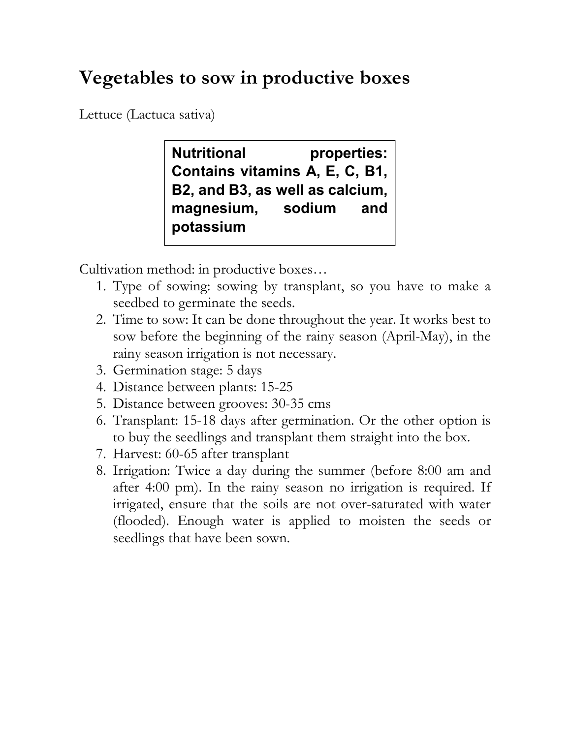## Vegetables to sow in productive boxes

Lettuce (Lactuca sativa)

Nutritional properties: Contains vitamins A, E, C, B1, B2, and B3, as well as calcium, magnesium, sodium and potassium

Cultivation method: in productive boxes…

- 1. Type of sowing: sowing by transplant, so you have to make a seedbed to germinate the seeds.
- 2. Time to sow: It can be done throughout the year. It works best to sow before the beginning of the rainy season (April-May), in the rainy season irrigation is not necessary.
- 3. Germination stage: 5 days
- 4. Distance between plants: 15-25
- 5. Distance between grooves: 30-35 cms
- 6. Transplant: 15-18 days after germination. Or the other option is to buy the seedlings and transplant them straight into the box.
- 7. Harvest: 60-65 after transplant
- 8. Irrigation: Twice a day during the summer (before 8:00 am and after 4:00 pm). In the rainy season no irrigation is required. If irrigated, ensure that the soils are not over-saturated with water (flooded). Enough water is applied to moisten the seeds or seedlings that have been sown.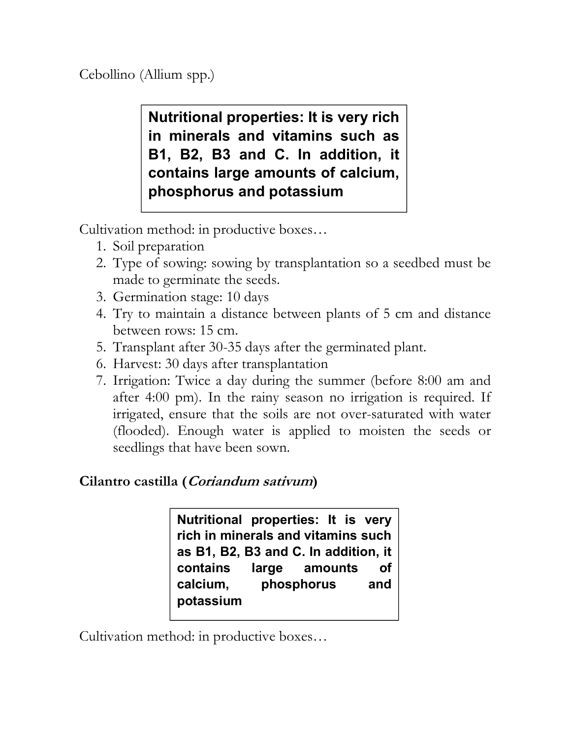Cebollino (Allium spp.)

Nutritional properties: It is very rich in minerals and vitamins such as B1, B2, B3 and C. In addition, it contains large amounts of calcium, phosphorus and potassium

Cultivation method: in productive boxes…

- 1. Soil preparation
- 2. Type of sowing: sowing by transplantation so a seedbed must be made to germinate the seeds.
- 3. Germination stage: 10 days
- 4. Try to maintain a distance between plants of 5 cm and distance between rows: 15 cm.
- 5. Transplant after 30-35 days after the germinated plant.
- 6. Harvest: 30 days after transplantation
- 7. Irrigation: Twice a day during the summer (before 8:00 am and after 4:00 pm). In the rainy season no irrigation is required. If irrigated, ensure that the soils are not over-saturated with water (flooded). Enough water is applied to moisten the seeds or seedlings that have been sown.

#### Cilantro castilla (Coriandum sativum)

Nutritional properties: It is very rich in minerals and vitamins such as B1, B2, B3 and C. In addition, it contains large amounts of calcium, phosphorus and potassium

Cultivation method: in productive boxes…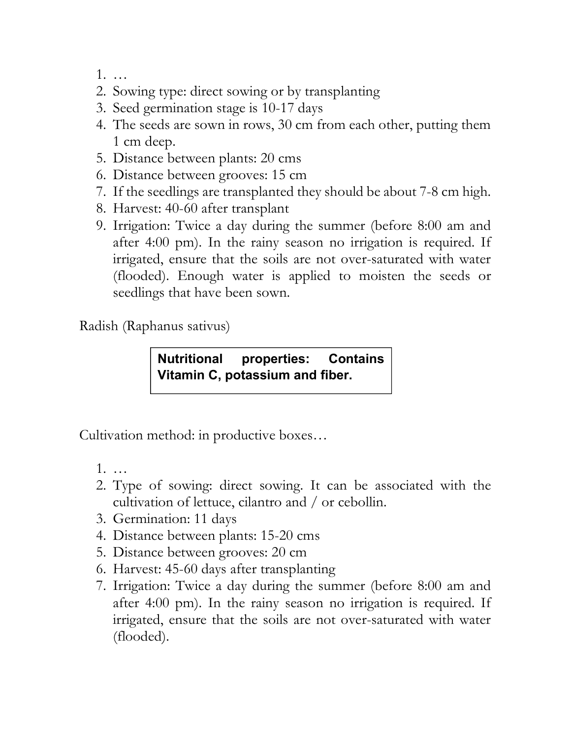- 1. …
- 2. Sowing type: direct sowing or by transplanting
- 3. Seed germination stage is 10-17 days
- 4. The seeds are sown in rows, 30 cm from each other, putting them 1 cm deep.
- 5. Distance between plants: 20 cms
- 6. Distance between grooves: 15 cm
- 7. If the seedlings are transplanted they should be about 7-8 cm high.
- 8. Harvest: 40-60 after transplant
- 9. Irrigation: Twice a day during the summer (before 8:00 am and after 4:00 pm). In the rainy season no irrigation is required. If irrigated, ensure that the soils are not over-saturated with water (flooded). Enough water is applied to moisten the seeds or seedlings that have been sown.

Radish (Raphanus sativus)

Nutritional properties: Contains Vitamin C, potassium and fiber.

Cultivation method: in productive boxes…

- 1. …
- 2. Type of sowing: direct sowing. It can be associated with the cultivation of lettuce, cilantro and / or cebollin.
- 3. Germination: 11 days
- 4. Distance between plants: 15-20 cms
- 5. Distance between grooves: 20 cm
- 6. Harvest: 45-60 days after transplanting
- 7. Irrigation: Twice a day during the summer (before 8:00 am and after 4:00 pm). In the rainy season no irrigation is required. If irrigated, ensure that the soils are not over-saturated with water (flooded).